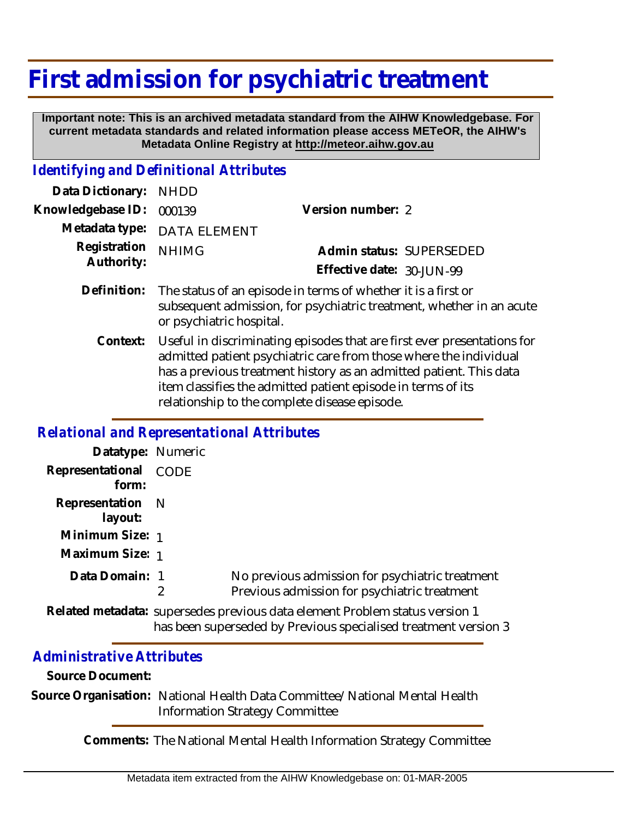## **First admission for psychiatric treatment**

 **Important note: This is an archived metadata standard from the AIHW Knowledgebase. For current metadata standards and related information please access METeOR, the AIHW's Metadata Online Registry at http://meteor.aihw.gov.au**

## *Identifying and Definitional Attributes*

| Data Dictionary: NHDD            |                             |                              |  |
|----------------------------------|-----------------------------|------------------------------|--|
| Knowledgebase ID: 000139         |                             | Version number: 2            |  |
|                                  | Metadata type: DATA ELEMENT |                              |  |
| Registration NHIMG<br>Authority: |                             | Admin status: SUPERSEDED     |  |
|                                  |                             | Effective date: $30$ -JUN-99 |  |
|                                  |                             |                              |  |

- Definition: The status of an episode in terms of whether it is a first or subsequent admission, for psychiatric treatment, whether in an acute or psychiatric hospital.
	- Useful in discriminating episodes that are first ever presentations for admitted patient psychiatric care from those where the individual has a previous treatment history as an admitted patient. This data item classifies the admitted patient episode in terms of its relationship to the complete disease episode. **Context:**

## *Relational and Representational Attributes*

| Datatype: Numeric              |   |                                                                                                 |
|--------------------------------|---|-------------------------------------------------------------------------------------------------|
| Representational CODE<br>form: |   |                                                                                                 |
| Representation N<br>layout:    |   |                                                                                                 |
| Minimum Size: 1                |   |                                                                                                 |
| Maximum Size: 1                |   |                                                                                                 |
| Data Domain: 1                 | 2 | No previous admission for psychiatric treatment<br>Previous admission for psychiatric treatment |
|                                |   | Related metadata: supersedes previous data element Problem status version 1                     |

has been superseded by Previous specialised treatment version 3

## *Administrative Attributes*

**Source Document:**

Source Organisation: National Health Data Committee/National Mental Health Information Strategy Committee

**Comments:** The National Mental Health Information Strategy Committee